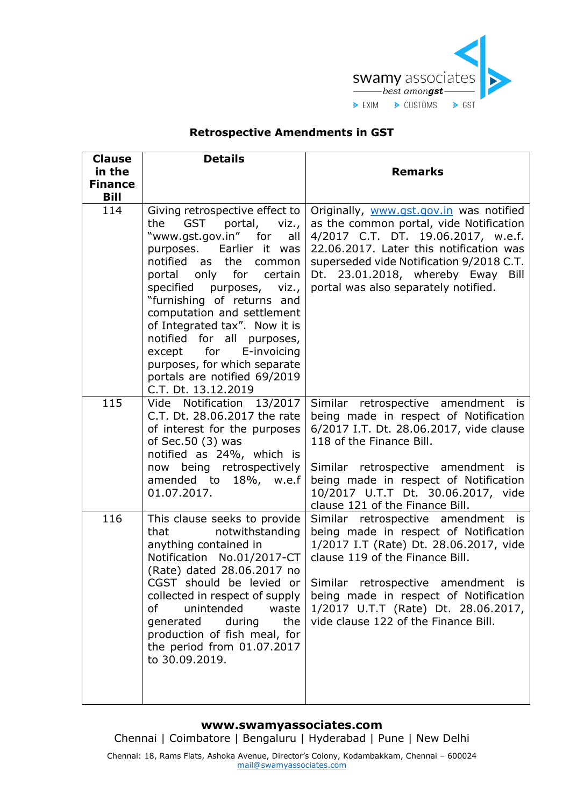

## **Retrospective Amendments in GST**

| <b>Clause</b><br>in the<br><b>Finance</b><br><b>Bill</b> | <b>Details</b>                                                                                                                                                                                                                                                                                                                                                                                                                                                         | <b>Remarks</b>                                                                                                                                                                                                                                                                                                         |
|----------------------------------------------------------|------------------------------------------------------------------------------------------------------------------------------------------------------------------------------------------------------------------------------------------------------------------------------------------------------------------------------------------------------------------------------------------------------------------------------------------------------------------------|------------------------------------------------------------------------------------------------------------------------------------------------------------------------------------------------------------------------------------------------------------------------------------------------------------------------|
| 114                                                      | Giving retrospective effect to<br>portal,<br>the<br><b>GST</b><br>viz.,<br>"www.gst.gov.in" for<br>all<br>purposes. Earlier it was<br>notified as<br>the common<br>portal only for<br>certain<br>specified purposes, viz.,<br>"furnishing of returns and<br>computation and settlement<br>of Integrated tax". Now it is<br>notified for all purposes,<br>except for E-invoicing<br>purposes, for which separate<br>portals are notified 69/2019<br>C.T. Dt. 13.12.2019 | Originally, www.gst.gov.in was notified<br>as the common portal, vide Notification<br>4/2017 C.T. DT. 19.06.2017, w.e.f.<br>22.06.2017. Later this notification was<br>superseded vide Notification 9/2018 C.T.<br>Dt. 23.01.2018, whereby Eway Bill<br>portal was also separately notified.                           |
| 115                                                      | Vide Notification 13/2017<br>C.T. Dt. 28.06.2017 the rate<br>of interest for the purposes<br>of Sec.50 (3) was<br>notified as 24%, which is<br>now being retrospectively<br>amended to 18%, w.e.f<br>01.07.2017.                                                                                                                                                                                                                                                       | Similar retrospective amendment is<br>being made in respect of Notification<br>6/2017 I.T. Dt. 28.06.2017, vide clause<br>118 of the Finance Bill.<br>Similar retrospective amendment is<br>being made in respect of Notification<br>10/2017 U.T.T Dt. 30.06.2017, vide<br>clause 121 of the Finance Bill.             |
| 116                                                      | This clause seeks to provide<br>notwithstanding<br>that<br>anything contained in<br>Notification No.01/2017-CT<br>(Rate) dated 28.06.2017 no<br>CGST should be levied or<br>collected in respect of supply<br>unintended<br>0f<br>waste<br>generated<br>during<br>the<br>production of fish meal, for<br>the period from 01.07.2017<br>to 30.09.2019.                                                                                                                  | Similar retrospective amendment is<br>being made in respect of Notification<br>1/2017 I.T (Rate) Dt. 28.06.2017, vide<br>clause 119 of the Finance Bill.<br>Similar retrospective amendment is<br>being made in respect of Notification<br>1/2017 U.T.T (Rate) Dt. 28.06.2017,<br>vide clause 122 of the Finance Bill. |

## **www.swamyassociates.com**

Chennai | Coimbatore | Bengaluru | Hyderabad | Pune | New Delhi

Chennai: 18, Rams Flats, Ashoka Avenue, Director's Colony, Kodambakkam, Chennai – 600024 [mail@swamyassociates.com](mailto:mail@swamyassociates.com)